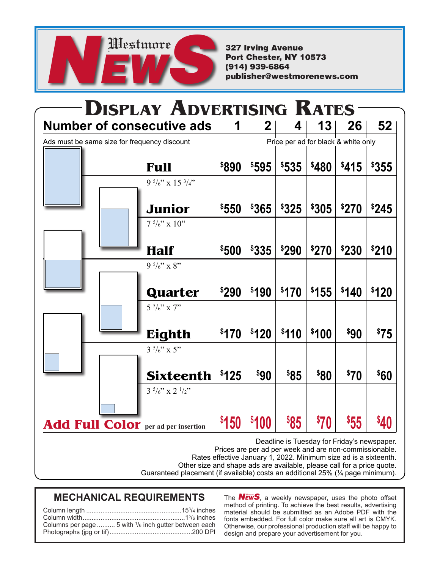

327 Irving Avenue Port Chester, NY 10573 (914) 939-6864 publisher@westmorenews.com

| <b>Number of consecutive ads</b>             |                                        |                   | <b>DISPLAY ADVERTISING RATES</b><br>2 | 4            | 13    | 26                                  | 52               |
|----------------------------------------------|----------------------------------------|-------------------|---------------------------------------|--------------|-------|-------------------------------------|------------------|
|                                              |                                        |                   |                                       |              |       | Price per ad for black & white only |                  |
| Ads must be same size for frequency discount |                                        |                   |                                       |              |       |                                     |                  |
|                                              | <b>Full</b>                            | <b>\$890</b>      | \$595                                 | \$535        | \$480 | \$415                               | \$355            |
|                                              | 9 $\frac{5}{6}$ " x 15 $\frac{3}{4}$ " |                   |                                       |              |       |                                     |                  |
|                                              |                                        |                   | \$365                                 | \$325        | \$305 | \$270                               | \$245            |
|                                              | Junior                                 | \$550             |                                       |              |       |                                     |                  |
|                                              | $7\frac{5}{6}$ " x 10"                 |                   |                                       |              |       |                                     |                  |
|                                              | <b>Half</b>                            | \$500             | <b>\$335</b>                          | <b>\$290</b> | \$270 | <b>\$230</b>                        | <b>\$210</b>     |
|                                              | 9 $\frac{5}{6}$ " x 8"                 |                   |                                       |              |       |                                     |                  |
|                                              |                                        |                   |                                       |              |       |                                     |                  |
|                                              | Quarter                                | <b>\$290</b>      | \$190                                 | \$170        | \$155 | \$140                               | \$120            |
|                                              | $5\frac{5}{6}$ " x 7"                  |                   |                                       |              |       |                                     |                  |
|                                              |                                        |                   |                                       |              |       |                                     |                  |
|                                              | Eighth                                 | \$170             | \$120                                 | \$110        | \$100 | \$90                                | <sup>\$</sup> 75 |
|                                              | $3\frac{5}{6}$ " x 5"                  |                   |                                       |              |       |                                     |                  |
|                                              |                                        |                   |                                       |              |       |                                     |                  |
|                                              | <b>Sixteenth</b>                       | \$125             | \$90                                  | \$85         | \$80  | \$70                                | \$60             |
|                                              | $3\frac{5}{6}$ " x 2 $\frac{1}{2}$ "   |                   |                                       |              |       |                                     |                  |
|                                              |                                        |                   |                                       |              |       |                                     |                  |
| <b>Add Full Color</b> per ad per insertion   |                                        | <sup>\$</sup> 150 | \$100                                 | <b>\$85</b>  | \$70  | \$55                                | \$40             |

Other size and shape ads are available, please call for a price quote.

Guaranteed placement (if available) costs an additional 25% (¼ page minimum).

### **MECHANICAL REQUIREMENTS** The **NEWS**, a weekly newspaper, uses the photo offset

| Columns per page  5 with <sup>1</sup> /6 inch gutter between each |
|-------------------------------------------------------------------|
|                                                                   |
|                                                                   |

method of printing. To achieve the best results, advertising material should be submitted as an Adobe PDF with the fonts embedded. For full color make sure all art is CMYK. Otherwise, our professional production staff will be happy to design and prepare your advertisement for you.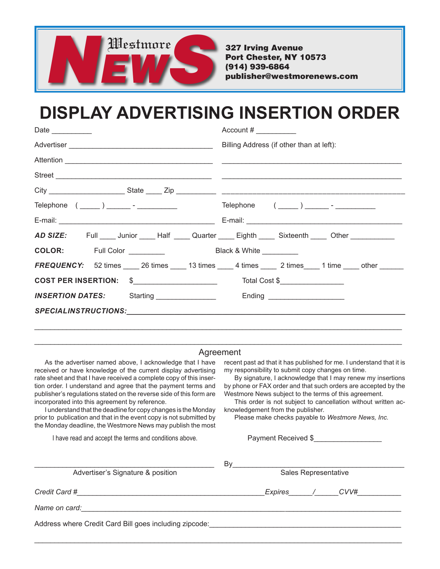

327 Irving Avenue Port Chester, NY 10573 (914) 939-6864 publisher@westmorenews.com

# **DISPLAY ADVERTISING INSERTION ORDER**

| Date _________                                                                                           | Account $\#$ __________                                                                |  |  |
|----------------------------------------------------------------------------------------------------------|----------------------------------------------------------------------------------------|--|--|
|                                                                                                          | Billing Address (if other than at left):                                               |  |  |
| Attention <b>Attention</b>                                                                               |                                                                                        |  |  |
|                                                                                                          |                                                                                        |  |  |
|                                                                                                          |                                                                                        |  |  |
|                                                                                                          |                                                                                        |  |  |
|                                                                                                          |                                                                                        |  |  |
| AD SIZE: Full _____ Junior _____ Half _____ Quarter _____ Eighth _____ Sixteenth _____ Other ___________ |                                                                                        |  |  |
|                                                                                                          |                                                                                        |  |  |
|                                                                                                          | <b>FREQUENCY:</b> 52 times 18 times 13 times 13 times 2 times 1 time 1 time the conter |  |  |
|                                                                                                          |                                                                                        |  |  |
| INSERTION DATES: Starting _______________ Ending _____________                                           |                                                                                        |  |  |
|                                                                                                          |                                                                                        |  |  |
|                                                                                                          |                                                                                        |  |  |

#### \_\_\_\_\_\_\_\_\_\_\_\_\_\_\_\_\_\_\_\_\_\_\_\_\_\_\_\_\_\_\_\_\_\_\_\_\_\_\_\_\_\_\_\_\_\_\_\_\_\_\_\_\_\_\_\_\_\_\_\_\_\_\_\_\_\_\_\_\_\_\_\_\_\_\_\_\_\_\_\_\_\_\_\_\_\_\_\_\_\_\_\_ Agreement

As the advertiser named above, I acknowledge that I have received or have knowledge of the current display advertising rate sheet and that I have received a complete copy of this insertion order. I understand and agree that the payment terms and publisher's regulations stated on the reverse side of this form are incorporated into this agreement by reference.

I understand that the deadline for copy changes is the Monday prior to publication and that in the event copy is not submitted by the Monday deadline, the Westmore News may publish the most

I have read and accept the terms and conditions above.

recent past ad that it has published for me. I understand that it is my responsibility to submit copy changes on time.

By signature, I acknowledge that I may renew my insertions by phone or FAX order and that such orders are accepted by the Westmore News subject to the terms of this agreement.

This order is not subject to cancellation without written acknowledgement from the publisher.

Please make checks payable to *Westmore News, Inc.*

Payment Received \$

| Advertiser's Signature & position                      | Bv<br>Sales Representative |  |  |  |  |
|--------------------------------------------------------|----------------------------|--|--|--|--|
| Credit Card #                                          | CVV#<br>Expires /          |  |  |  |  |
| Name on card:                                          |                            |  |  |  |  |
| Address where Credit Card Bill goes including zipcode: |                            |  |  |  |  |

\_\_\_\_\_\_\_\_\_\_\_\_\_\_\_\_\_\_\_\_\_\_\_\_\_\_\_\_\_\_\_\_\_\_\_\_\_\_\_\_\_\_\_\_\_\_\_\_\_\_\_\_\_\_\_\_\_\_\_\_\_\_\_\_\_\_\_\_\_\_\_\_\_\_\_\_\_\_\_\_\_\_\_\_\_\_\_\_\_\_\_\_